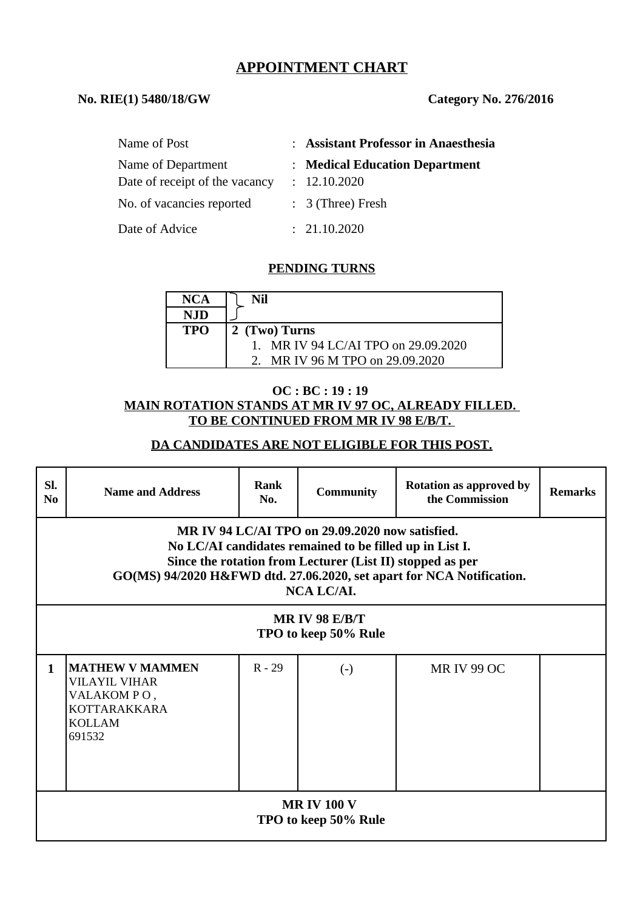# **APPOINTMENT CHART**

#### **No. RIE(1) 5480/18/GW Category No. 276/2016**

| Name of Post                                         | : Assistant Professor in Anaesthesia           |
|------------------------------------------------------|------------------------------------------------|
| Name of Department<br>Date of receipt of the vacancy | : Medical Education Department<br>: 12.10.2020 |
| No. of vacancies reported                            | $: 3$ (Three) Fresh                            |
| Date of Advice                                       | : 21.10.2020                                   |

### **PENDING TURNS**

| <b>NCA</b> | Nil                                 |
|------------|-------------------------------------|
| NJD        |                                     |
| <b>TPO</b> | 2 (Two) Turns                       |
|            | 1. MR IV 94 LC/AI TPO on 29.09.2020 |
|            | MR IV 96 M TPO on 29.09.2020        |

#### **OC : BC : 19 : 19 MAIN ROTATION STANDS AT MR IV 97 OC, ALREADY FILLED. TO BE CONTINUED FROM MR IV 98 E/B/T.**

#### **DA CANDIDATES ARE NOT ELIGIBLE FOR THIS POST.**

| SI.<br>N <sub>0</sub>                                                                                                                                                                                                                                                 | <b>Name and Address</b>                                                                                         | <b>Rank</b><br>No. | <b>Community</b>       | <b>Rotation as approved by</b><br>the Commission | <b>Remarks</b> |  |
|-----------------------------------------------------------------------------------------------------------------------------------------------------------------------------------------------------------------------------------------------------------------------|-----------------------------------------------------------------------------------------------------------------|--------------------|------------------------|--------------------------------------------------|----------------|--|
| MR IV 94 LC/AI TPO on 29.09.2020 now satisfied.<br>No LC/AI candidates remained to be filled up in List I.<br>Since the rotation from Lecturer (List II) stopped as per<br>GO(MS) 94/2020 H&FWD dtd. 27.06.2020, set apart for NCA Notification.<br><b>NCA LC/AI.</b> |                                                                                                                 |                    |                        |                                                  |                |  |
| <b>MR IV 98 E/B/T</b><br>TPO to keep 50% Rule                                                                                                                                                                                                                         |                                                                                                                 |                    |                        |                                                  |                |  |
| $\mathbf{1}$                                                                                                                                                                                                                                                          | <b> MATHEW V MAMMEN</b><br><b>VILAYIL VIHAR</b><br>VALAKOMPO,<br><b>KOTTARAKKARA</b><br><b>KOLLAM</b><br>691532 | $R - 29$           | $\left( \cdot \right)$ | <b>MR IV 99 OC</b>                               |                |  |
| <b>MR IV 100 V</b><br>TPO to keep 50% Rule                                                                                                                                                                                                                            |                                                                                                                 |                    |                        |                                                  |                |  |